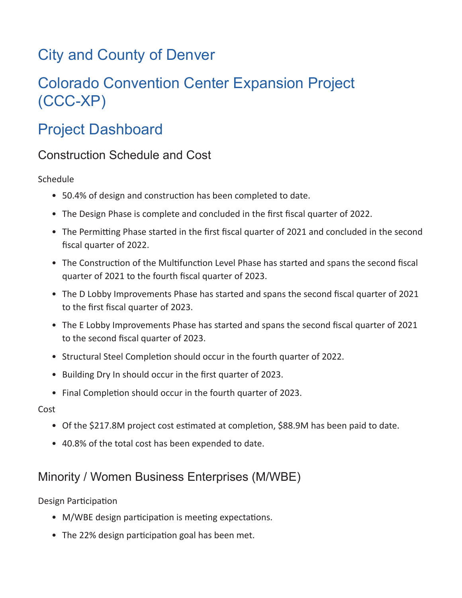# City and County of Denver

# Colorado Convention Center Expansion Project (CCC-XP)

# Project Dashboard

## Construction Schedule and Cost

Schedule

- 50.4% of design and construction has been completed to date.
- The Design Phase is complete and concluded in the first fiscal quarter of 2022.
- The Permitting Phase started in the first fiscal quarter of 2021 and concluded in the second fiscal quarter of 2022.
- The Construction of the Multifunction Level Phase has started and spans the second fiscal quarter of 2021 to the fourth fiscal quarter of 2023.
- The D Lobby Improvements Phase has started and spans the second fiscal quarter of 2021 to the first fiscal quarter of 2023.
- The E Lobby Improvements Phase has started and spans the second fiscal quarter of 2021 to the second fiscal quarter of 2023.
- Structural Steel Completion should occur in the fourth quarter of 2022.
- Building Dry In should occur in the first quarter of 2023.
- Final Completion should occur in the fourth quarter of 2023.

Cost

- Of the \$217.8M project cost estimated at completion, \$88.9M has been paid to date.
- 40.8% of the total cost has been expended to date.

## Minority / Women Business Enterprises (M/WBE)

Design Participation

- M/WBE design participation is meeting expectations.
- The 22% design participation goal has been met.